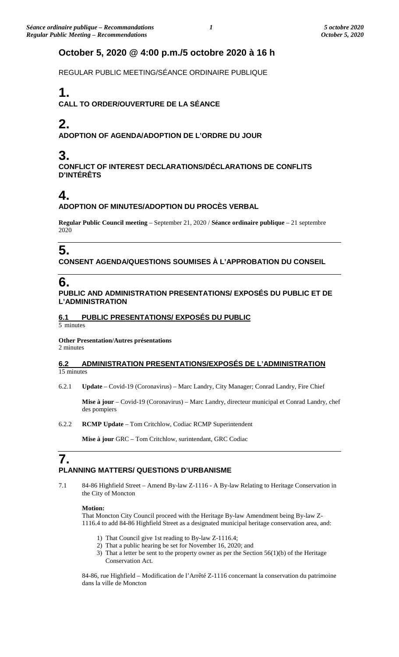### **October 5, 2020 @ 4:00 p.m./5 octobre 2020 à 16 h**

REGULAR PUBLIC MEETING/SÉANCE ORDINAIRE PUBLIQUE

# **1.**

**CALL TO ORDER/OUVERTURE DE LA SÉANCE**

# **2.**

**ADOPTION OF AGENDA/ADOPTION DE L'ORDRE DU JOUR**

## **3.**

**CONFLICT OF INTEREST DECLARATIONS/DÉCLARATIONS DE CONFLITS D'INTÉRÊTS**

# **4.**

#### **ADOPTION OF MINUTES/ADOPTION DU PROCÈS VERBAL**

**Regular Public Council meeting** – September 21, 2020 / **Séance ordinaire publique** – 21 septembre 2020

# **5.**

**CONSENT AGENDA/QUESTIONS SOUMISES À L'APPROBATION DU CONSEIL**

### **6.**

#### **PUBLIC AND ADMINISTRATION PRESENTATIONS/ EXPOSÉS DU PUBLIC ET DE L'ADMINISTRATION**

### **6.1 PUBLIC PRESENTATIONS/ EXPOSÉS DU PUBLIC**

5 minutes

#### **Other Presentation/Autres présentations**

2 minutes

#### **6.2 ADMINISTRATION PRESENTATIONS/EXPOSÉS DE L'ADMINISTRATION**  15 minutes

6.2.1 **Update** – Covid-19 (Coronavirus) – Marc Landry, City Manager; Conrad Landry, Fire Chief

**Mise à jour** – Covid-19 (Coronavirus) – Marc Landry, directeur municipal et Conrad Landry, chef des pompiers

6.2.2 **RCMP Update** – Tom Critchlow, Codiac RCMP Superintendent

**Mise à jour** GRC – Tom Critchlow, surintendant, GRC Codiac

### **7. PLANNING MATTERS/ QUESTIONS D'URBANISME**

7.1 84-86 Highfield Street – Amend By-law Z-1116 - A By-law Relating to Heritage Conservation in the City of Moncton

#### **Motion:**

That Moncton City Council proceed with the Heritage By-law Amendment being By-law Z-1116.4 to add 84-86 Highfield Street as a designated municipal heritage conservation area, and:

- 1) That Council give 1st reading to By-law Z-1116.4;
- 2) That a public hearing be set for November 16, 2020; and
- 3) That a letter be sent to the property owner as per the Section 56(1)(b) of the Heritage Conservation Act.

84-86, rue Highfield – Modification de l'Arrêté Z-1116 concernant la conservation du patrimoine dans la ville de Moncton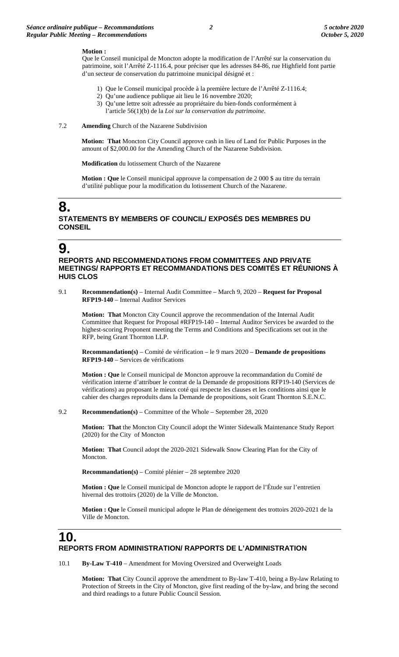#### **Motion :**

Que le Conseil municipal de Moncton adopte la modification de l'Arrêté sur la conservation du patrimoine, soit l'Arrêté Z-1116.4, pour préciser que les adresses 84-86, rue Highfield font partie d'un secteur de conservation du patrimoine municipal désigné et :

- 1) Que le Conseil municipal procède à la première lecture de l'Arrêté Z-1116.4;
- 2) Qu'une audience publique ait lieu le 16 novembre 2020;
- 3) Qu'une lettre soit adressée au propriétaire du bien-fonds conformément à l'article 56(1)(b) de la *Loi sur la conservation du patrimoine*.

#### 7.2 **Amending** Church of the Nazarene Subdivision

**Motion: That** Moncton City Council approve cash in lieu of Land for Public Purposes in the amount of \$2,000.00 for the Amending Church of the Nazarene Subdivision.

**Modification** du lotissement Church of the Nazarene

**Motion : Que** le Conseil municipal approuve la compensation de 2 000 \$ au titre du terrain d'utilité publique pour la modification du lotissement Church of the Nazarene.

### **8. STATEMENTS BY MEMBERS OF COUNCIL/ EXPOSÉS DES MEMBRES DU CONSEIL**

### **9.**

#### **REPORTS AND RECOMMENDATIONS FROM COMMITTEES AND PRIVATE MEETINGS/ RAPPORTS ET RECOMMANDATIONS DES COMITÉS ET RÉUNIONS À HUIS CLOS**

9.1 **Recommendation(s)** – Internal Audit Committee – March 9, 2020 – **Request for Proposal RFP19-140** – Internal Auditor Services

**Motion: That** Moncton City Council approve the recommendation of the Internal Audit Committee that Request for Proposal #RFP19-140 – Internal Auditor Services be awarded to the highest-scoring Proponent meeting the Terms and Conditions and Specifications set out in the RFP, being Grant Thornton LLP.

**Recommandation(s)** – Comité de vérification – le 9 mars 2020 – **Demande de propositions RFP19-140** – Services de vérifications

**Motion : Que** le Conseil municipal de Moncton approuve la recommandation du Comité de vérification interne d'attribuer le contrat de la Demande de propositions RFP19-140 (Services de vérifications) au proposant le mieux coté qui respecte les clauses et les conditions ainsi que le cahier des charges reproduits dans la Demande de propositions, soit Grant Thornton S.E.N.C.

9.2 **Recommendation(s)** – Committee of the Whole – September 28, 2020

**Motion: That** the Moncton City Council adopt the Winter Sidewalk Maintenance Study Report (2020) for the City of Moncton

**Motion: That** Council adopt the 2020-2021 Sidewalk Snow Clearing Plan for the City of Moncton.

**Recommandation(s)** – Comité plénier – 28 septembre 2020

**Motion : Que** le Conseil municipal de Moncton adopte le rapport de l'Étude sur l'entretien hivernal des trottoirs (2020) de la Ville de Moncton.

**Motion : Que** le Conseil municipal adopte le Plan de déneigement des trottoirs 2020-2021 de la Ville de Moncton.

### **10. REPORTS FROM ADMINISTRATION/ RAPPORTS DE L'ADMINISTRATION**

10.1 **By-Law T-410** – Amendment for Moving Oversized and Overweight Loads

**Motion: That** City Council approve the amendment to By-law T-410, being a By-law Relating to Protection of Streets in the City of Moncton, give first reading of the by-law, and bring the second and third readings to a future Public Council Session.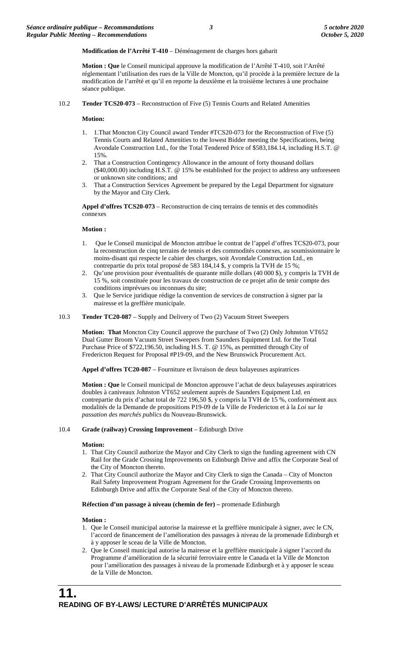**Modification de l'Arrêté T-410** – Déménagement de charges hors gabarit

**Motion : Que** le Conseil municipal approuve la modification de l'Arrêté T-410, soit l'Arrêté réglementant l'utilisation des rues de la Ville de Moncton, qu'il procède à la première lecture de la modification de l'arrêté et qu'il en reporte la deuxième et la troisième lectures à une prochaine séance publique.

10.2 **Tender TCS20-073** – Reconstruction of Five (5) Tennis Courts and Related Amenities

#### **Motion:**

- 1. 1.That Moncton City Council award Tender #TCS20-073 for the Reconstruction of Five (5) Tennis Courts and Related Amenities to the lowest Bidder meeting the Specifications, being Avondale Construction Ltd., for the Total Tendered Price of \$583,184.14, including H.S.T. @ 15%.
- 2. That a Construction Contingency Allowance in the amount of forty thousand dollars (\$40,000.00) including H.S.T. @ 15% be established for the project to address any unforeseen or unknown site conditions; and
- 3. That a Construction Services Agreement be prepared by the Legal Department for signature by the Mayor and City Clerk.

**Appel d'offres TCS20-073** – Reconstruction de cinq terrains de tennis et des commodités connexes

#### **Motion :**

- 1. Que le Conseil municipal de Moncton attribue le contrat de l'appel d'offres TCS20-073, pour la reconstruction de cinq terrains de tennis et des commodités connexes, au soumissionnaire le moins-disant qui respecte le cahier des charges, soit Avondale Construction Ltd., en contrepartie du prix total proposé de 583 184,14 \$, y compris la TVH de 15 %;
- 2. Qu'une provision pour éventualités de quarante mille dollars (40 000 \$), y compris la TVH de 15 %, soit constituée pour les travaux de construction de ce projet afin de tenir compte des conditions imprévues ou inconnues du site;
- 3. Que le Service juridique rédige la convention de services de construction à signer par la mairesse et la greffière municipale.
- 10.3 **Tender TC20-087** Supply and Delivery of Two (2) Vacuum Street Sweepers

**Motion: That** Moncton City Council approve the purchase of Two (2) Only Johnston VT652 Dual Gutter Broom Vacuum Street Sweepers from Saunders Equipment Ltd. for the Total Purchase Price of \$722,196.50, including H.S. T. @ 15%, as permitted through City of Fredericton Request for Proposal #P19-09, and the New Brunswick Procurement Act.

**Appel d'offres TC20-087** – Fourniture et livraison de deux balayeuses aspiratrices

**Motion : Que** le Conseil municipal de Moncton approuve l'achat de deux balayeuses aspiratrices doubles à caniveaux Johnston VT652 seulement auprès de Saunders Equipment Ltd. en contrepartie du prix d'achat total de 722 196,50 \$, y compris la TVH de 15 %, conformément aux modalités de la Demande de propositions P19-09 de la Ville de Fredericton et à la *Loi sur la passation des marchés publics* du Nouveau-Brunswick.

#### 10.4 **Grade (railway) Crossing Improvement** – Edinburgh Drive

#### **Motion:**

- 1. That City Council authorize the Mayor and City Clerk to sign the funding agreement with CN Rail for the Grade Crossing Improvements on Edinburgh Drive and affix the Corporate Seal of the City of Moncton thereto.
- 2. That City Council authorize the Mayor and City Clerk to sign the Canada City of Moncton Rail Safety Improvement Program Agreement for the Grade Crossing Improvements on Edinburgh Drive and affix the Corporate Seal of the City of Moncton thereto.

**Réfection d'un passage à niveau (chemin de fer) –** promenade Edinburgh

#### **Motion :**

- 1. Que le Conseil municipal autorise la mairesse et la greffière municipale à signer, avec le CN, l'accord de financement de l'amélioration des passages à niveau de la promenade Edinburgh et à y apposer le sceau de la Ville de Moncton.
- 2. Que le Conseil municipal autorise la mairesse et la greffière municipale à signer l'accord du Programme d'amélioration de la sécurité ferroviaire entre le Canada et la Ville de Moncton pour l'amélioration des passages à niveau de la promenade Edinburgh et à y apposer le sceau de la Ville de Moncton.